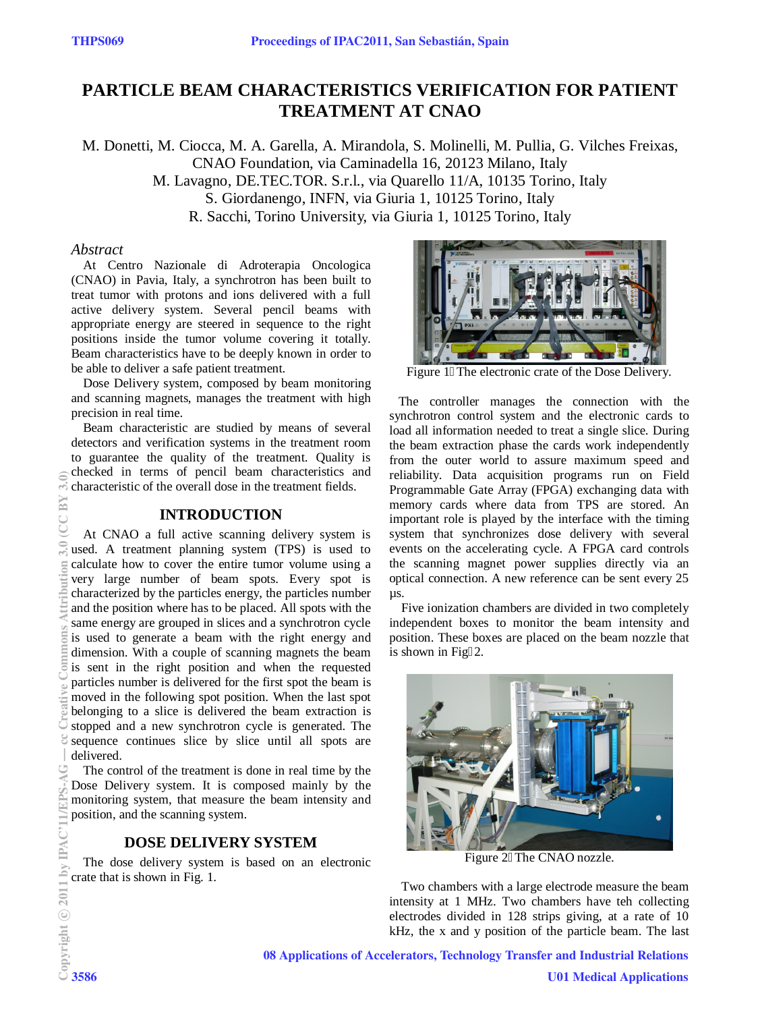# **PARTICLE BEAM CHARACTERISTICS VERIFICATION FOR PATIENT TREATMENT AT CNAO**

M. Donetti, M. Ciocca, M. A. Garella, A. Mirandola, S. Molinelli, M. Pullia, G. Vilches Freixas, CNAO Foundation, via Caminadella 16, 20123 Milano, Italy M. Lavagno, DE.TEC.TOR. S.r.l., via Quarello 11/A, 10135 Torino, Italy S. Giordanengo, INFN, via Giuria 1, 10125 Torino, Italy R. Sacchi, Torino University, via Giuria 1, 10125 Torino, Italy

#### *Abstract*

At Centro Nazionale di Adroterapia Oncologica (CNAO) in Pavia, Italy, a synchrotron has been built to treat tumor with protons and ions delivered with a full active delivery system. Several pencil beams with appropriate energy are steered in sequence to the right positions inside the tumor volume covering it totally. Beam characteristics have to be deeply known in order to be able to deliver a safe patient treatment.

Dose Delivery system, composed by beam monitoring and scanning magnets, manages the treatment with high precision in real time.

Beam characteristic are studied by means of several detectors and verification systems in the treatment room to guarantee the quality of the treatment. Quality is checked in terms of pencil beam characteristics and characteristic of the overall dose in the treatment fields.

### **INTRODUCTION**

At CNAO a full active scanning delivery system is used. A treatment planning system (TPS) is used to calculate how to cover the entire tumor volume using a very large number of beam spots. Every spot is characterized by the particles energy, the particles number and the position where has to be placed. All spots with the same energy are grouped in slices and a synchrotron cycle is used to generate a beam with the right energy and dimension. With a couple of scanning magnets the beam is sent in the right position and when the requested particles number is delivered for the first spot the beam is moved in the following spot position. When the last spot belonging to a slice is delivered the beam extraction is stopped and a new synchrotron cycle is generated. The sequence continues slice by slice until all spots are delivered.

The control of the treatment is done in real time by the Dose Delivery system. It is composed mainly by the monitoring system, that measure the beam intensity and position, and the scanning system.

### **DOSE DELIVERY SYSTEM**

The dose delivery system is based on an electronic crate that is shown in Fig. 1.



Figure 1<The electronic crate of the Dose Delivery.

The controller manages the connection with the synchrotron control system and the electronic cards to load all information needed to treat a single slice. During the beam extraction phase the cards work independently from the outer world to assure maximum speed and reliability. Data acquisition programs run on Field Programmable Gate Array (FPGA) exchanging data with memory cards where data from TPS are stored. An important role is played by the interface with the timing system that synchronizes dose delivery with several events on the accelerating cycle. A FPGA card controls the scanning magnet power supplies directly via an optical connection. A new reference can be sent every 25 µs.

Five ionization chambers are divided in two completely independent boxes to monitor the beam intensity and position. These boxes are placed on the beam nozzle that is shown in Fig02.



Figure 2<The CNAO nozzle.

Two chambers with a large electrode measure the beam intensity at 1 MHz. Two chambers have teh collecting electrodes divided in 128 strips giving, at a rate of 10 kHz, the x and y position of the particle beam. The last

08 Applications of Accelerators, Technology Transfer and Industrial Relations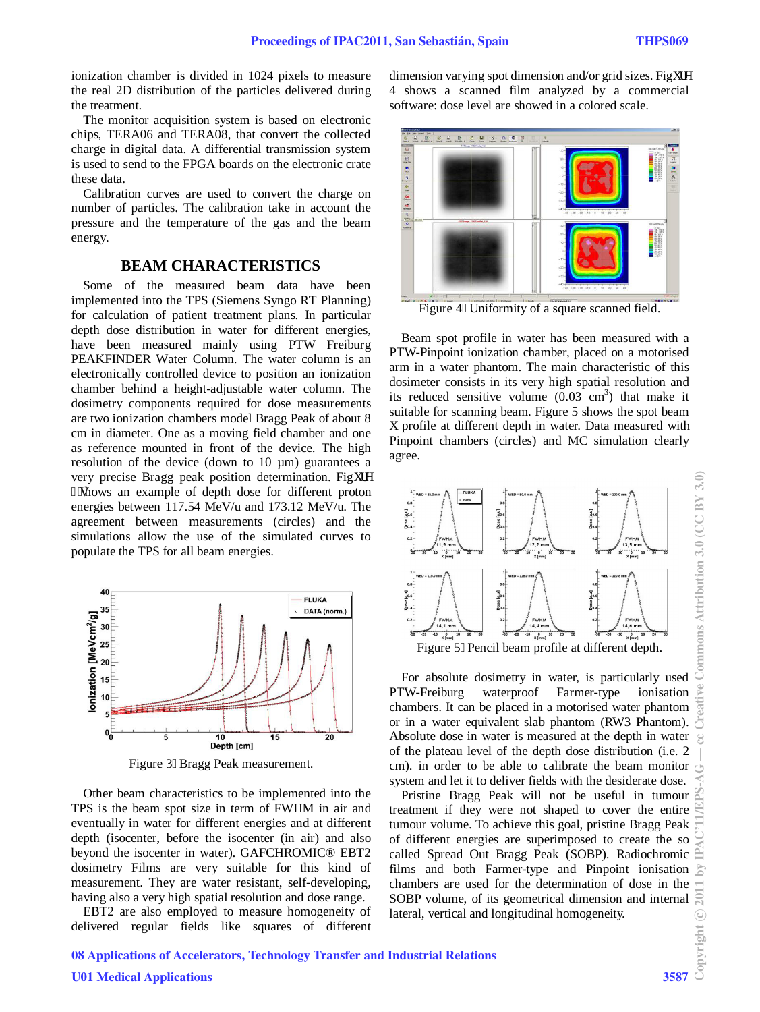ionization chamber is divided in 1024 pixels to measure the real 2D distribution of the particles delivered during the treatment.

The monitor acquisition system is based on electronic chips, TERA06 and TERA08, that convert the collected charge in digital data. A differential transmission system is used to send to the FPGA boards on the electronic crate these data.

Calibration curves are used to convert the charge on number of particles. The calibration take in account the pressure and the temperature of the gas and the beam energy.

#### **BEAM CHARACTERISTICS**

Some of the measured beam data have been implemented into the TPS (Siemens Syngo RT Planning) for calculation of patient treatment plans. In particular depth dose distribution in water for different energies, have been measured mainly using PTW Freiburg PEAKFINDER Water Column. The water column is an electronically controlled device to position an ionization chamber behind a height-adjustable water column. The dosimetry components required for dose measurements are two ionization chambers model Bragg Peak of about 8 cm in diameter. One as a moving field chamber and one as reference mounted in front of the device. The high resolution of the device (down to 10 µm) guarantees a very precise Bragg peak position determination. Figwtg 5'thows an example of depth dose for different proton energies between 117.54 MeV/u and 173.12 MeV/u. The agreement between measurements (circles) and the simulations allow the use of the simulated curves to populate the TPS for all beam energies.



Figure 3<Bragg Peak measurement.

Other beam characteristics to be implemented into the TPS is the beam spot size in term of FWHM in air and eventually in water for different energies and at different depth (isocenter, before the isocenter (in air) and also beyond the isocenter in water). GAFCHROMIC® EBT2 dosimetry Films are very suitable for this kind of measurement. They are water resistant, self-developing, having also a very high spatial resolution and dose range.

EBT2 are also employed to measure homogeneity of delivered regular fields like squares of different dimension varying spot dimension and/or grid sizes. Figwtg 4 shows a scanned film analyzed by a commercial software: dose level are showed in a colored scale.



Figure 4<Uniformity of a square scanned field.

Beam spot profile in water has been measured with a PTW-Pinpoint ionization chamber, placed on a motorised arm in a water phantom. The main characteristic of this dosimeter consists in its very high spatial resolution and its reduced sensitive volume  $(0.03 \text{ cm}^3)$  that make it suitable for scanning beam. Figure 5 shows the spot beam Pinpoint chambers (circles) and MC simulation clearly agree. X profile at different depth in water. Data measured with



Figure 5<Pencil beam profile at different depth.

For absolute dosimetry in water, is particularly used PTW-Freiburg waterproof Farmer-type ionisation chambers. It can be placed in a motorised water phantom or in a water equivalent slab phantom (RW3 Phantom). Absolute dose in water is measured at the depth in water of the plateau level of the depth dose distribution (i.e. 2 cm). in order to be able to calibrate the beam monitor system and let it to deliver fields with the desiderate dose.

Pristine Bragg Peak will not be useful in tumour treatment if they were not shaped to cover the entire tumour volume. To achieve this goal, pristine Bragg Peak of different energies are superimposed to create the so called Spread Out Bragg Peak (SOBP). Radiochromic films and both Farmer-type and Pinpoint ionisation chambers are used for the determination of dose in the SOBP volume, of its geometrical dimension and internal lateral, vertical and longitudinal homogeneity.